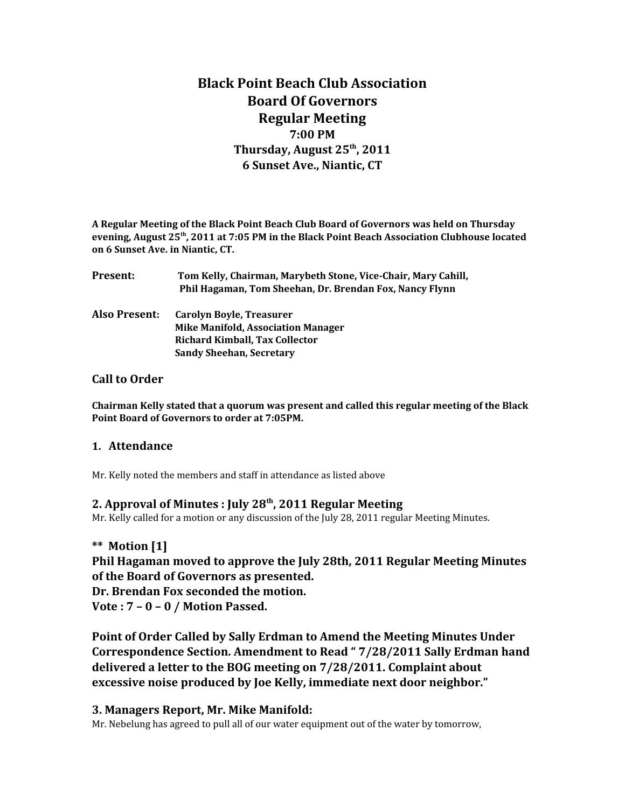# **Black Point Beach Club Association Board Of Governors Regular Meeting 7:00 PM Thursday, August 25th, 2011 6 Sunset Ave., Niantic, CT**

**A Regular Meeting of the Black Point Beach Club Board of Governors was held on Thursday evening, August 25th, 2011 at 7:05 PM in the Black Point Beach Association Clubhouse located on 6 Sunset Ave. in Niantic, CT.**

| Present:      | Tom Kelly, Chairman, Marybeth Stone, Vice-Chair, Mary Cahill,<br>Phil Hagaman, Tom Sheehan, Dr. Brendan Fox, Nancy Flynn |
|---------------|--------------------------------------------------------------------------------------------------------------------------|
| Also Present: | Carolyn Boyle, Treasurer<br><b>Mike Manifold, Association Manager</b>                                                    |
|               | <b>Richard Kimball, Tax Collector</b>                                                                                    |
|               | <b>Sandy Sheehan, Secretary</b>                                                                                          |
|               |                                                                                                                          |

## **Call to Order**

**Chairman Kelly stated that a quorum was present and called this regular meeting of the Black Point Board of Governors to order at 7:05PM.** 

#### **1. Attendance**

Mr. Kelly noted the members and staff in attendance as listed above

## **2. Approval of Minutes : July 28th, 2011 Regular Meeting**

Mr. Kelly called for a motion or any discussion of the July 28, 2011 regular Meeting Minutes.

## **\*\* Motion [1]**

**Phil Hagaman moved to approve the July 28th, 2011 Regular Meeting Minutes of the Board of Governors as presented.**

**Dr. Brendan Fox seconded the motion.**

**Vote : 7 – 0 – 0 / Motion Passed.**

**Point of Order Called by Sally Erdman to Amend the Meeting Minutes Under Correspondence Section. Amendment to Read " 7/28/2011 Sally Erdman hand delivered a letter to the BOG meeting on 7/28/2011. Complaint about excessive noise produced by Joe Kelly, immediate next door neighbor."**

## **3. Managers Report, Mr. Mike Manifold:**

Mr. Nebelung has agreed to pull all of our water equipment out of the water by tomorrow,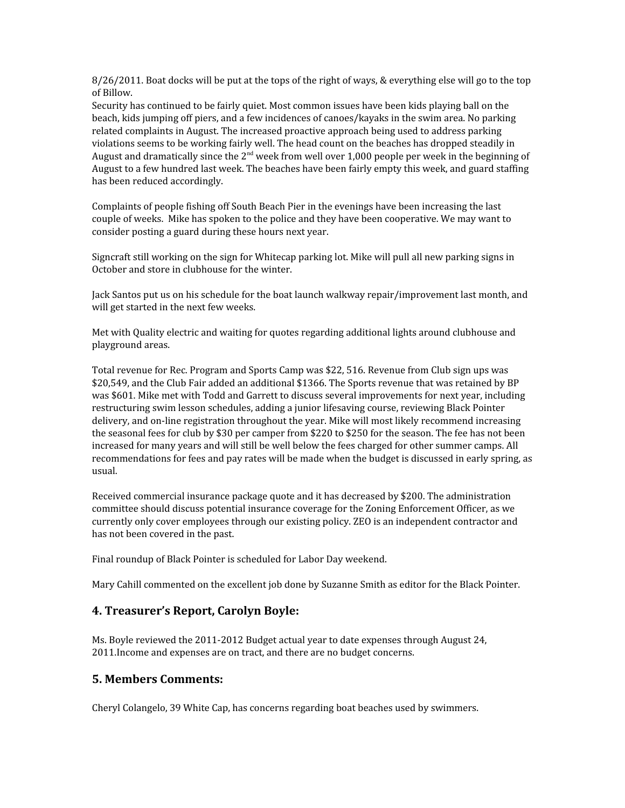8/26/2011. Boat docks will be put at the tops of the right of ways, & everything else will go to the top of Billow.

Security has continued to be fairly quiet. Most common issues have been kids playing ball on the beach, kids jumping off piers, and a few incidences of canoes/kayaks in the swim area. No parking related complaints in August. The increased proactive approach being used to address parking violations seems to be working fairly well. The head count on the beaches has dropped steadily in August and dramatically since the  $2<sup>nd</sup>$  week from well over 1,000 people per week in the beginning of August to a few hundred last week. The beaches have been fairly empty this week, and guard staffing has been reduced accordingly.

Complaints of people fishing off South Beach Pier in the evenings have been increasing the last couple of weeks. Mike has spoken to the police and they have been cooperative. We may want to consider posting a guard during these hours next year.

Signcraft still working on the sign for Whitecap parking lot. Mike will pull all new parking signs in October and store in clubhouse for the winter.

Jack Santos put us on his schedule for the boat launch walkway repair/improvement last month, and will get started in the next few weeks.

Met with Quality electric and waiting for quotes regarding additional lights around clubhouse and playground areas.

Total revenue for Rec. Program and Sports Camp was \$22, 516. Revenue from Club sign ups was \$20,549, and the Club Fair added an additional \$1366. The Sports revenue that was retained by BP was \$601. Mike met with Todd and Garrett to discuss several improvements for next year, including restructuring swim lesson schedules, adding a junior lifesaving course, reviewing Black Pointer delivery, and on-line registration throughout the year. Mike will most likely recommend increasing the seasonal fees for club by \$30 per camper from \$220 to \$250 for the season. The fee has not been increased for many years and will still be well below the fees charged for other summer camps. All recommendations for fees and pay rates will be made when the budget is discussed in early spring, as usual.

Received commercial insurance package quote and it has decreased by \$200. The administration committee should discuss potential insurance coverage for the Zoning Enforcement Officer, as we currently only cover employees through our existing policy. ZEO is an independent contractor and has not been covered in the past.

Final roundup of Black Pointer is scheduled for Labor Day weekend.

Mary Cahill commented on the excellent job done by Suzanne Smith as editor for the Black Pointer.

## **4. Treasurer's Report, Carolyn Boyle:**

Ms. Boyle reviewed the 2011-2012 Budget actual year to date expenses through August 24, 2011.Income and expenses are on tract, and there are no budget concerns.

#### **5. Members Comments:**

Cheryl Colangelo, 39 White Cap, has concerns regarding boat beaches used by swimmers.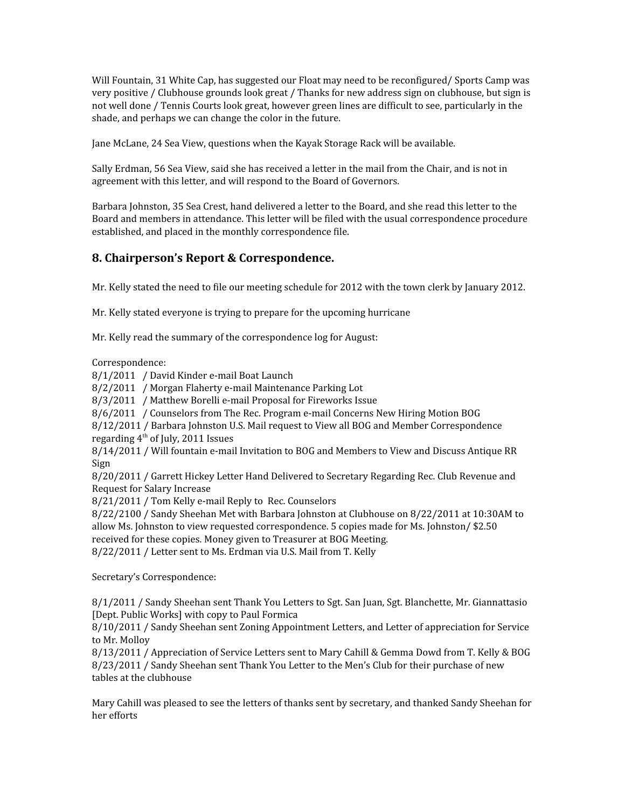Will Fountain, 31 White Cap, has suggested our Float may need to be reconfigured/ Sports Camp was very positive / Clubhouse grounds look great / Thanks for new address sign on clubhouse, but sign is not well done / Tennis Courts look great, however green lines are difficult to see, particularly in the shade, and perhaps we can change the color in the future.

Jane McLane, 24 Sea View, questions when the Kayak Storage Rack will be available.

Sally Erdman, 56 Sea View, said she has received a letter in the mail from the Chair, and is not in agreement with this letter, and will respond to the Board of Governors.

Barbara Johnston, 35 Sea Crest, hand delivered a letter to the Board, and she read this letter to the Board and members in attendance. This letter will be filed with the usual correspondence procedure established, and placed in the monthly correspondence file.

## **8. Chairperson's Report & Correspondence.**

Mr. Kelly stated the need to file our meeting schedule for 2012 with the town clerk by January 2012.

Mr. Kelly stated everyone is trying to prepare for the upcoming hurricane

Mr. Kelly read the summary of the correspondence log for August:

Correspondence:

8/1/2011 / David Kinder e-mail Boat Launch

8/2/2011 / Morgan Flaherty e-mail Maintenance Parking Lot

8/3/2011 / Matthew Borelli e-mail Proposal for Fireworks Issue

8/6/2011 / Counselors from The Rec. Program e-mail Concerns New Hiring Motion BOG

8/12/2011 / Barbara Johnston U.S. Mail request to View all BOG and Member Correspondence regarding  $4<sup>th</sup>$  of July, 2011 Issues

8/14/2011 / Will fountain e-mail Invitation to BOG and Members to View and Discuss Antique RR Sign

8/20/2011 / Garrett Hickey Letter Hand Delivered to Secretary Regarding Rec. Club Revenue and Request for Salary Increase

8/21/2011 / Tom Kelly e-mail Reply to Rec. Counselors

8/22/2100 / Sandy Sheehan Met with Barbara Johnston at Clubhouse on 8/22/2011 at 10:30AM to allow Ms. Johnston to view requested correspondence. 5 copies made for Ms. Johnston/ \$2.50 received for these copies. Money given to Treasurer at BOG Meeting.

8/22/2011 / Letter sent to Ms. Erdman via U.S. Mail from T. Kelly

Secretary's Correspondence:

8/1/2011 / Sandy Sheehan sent Thank You Letters to Sgt. San Juan, Sgt. Blanchette, Mr. Giannattasio [Dept. Public Works] with copy to Paul Formica

8/10/2011 / Sandy Sheehan sent Zoning Appointment Letters, and Letter of appreciation for Service to Mr. Molloy

8/13/2011 / Appreciation of Service Letters sent to Mary Cahill & Gemma Dowd from T. Kelly & BOG 8/23/2011 / Sandy Sheehan sent Thank You Letter to the Men's Club for their purchase of new tables at the clubhouse

Mary Cahill was pleased to see the letters of thanks sent by secretary, and thanked Sandy Sheehan for her efforts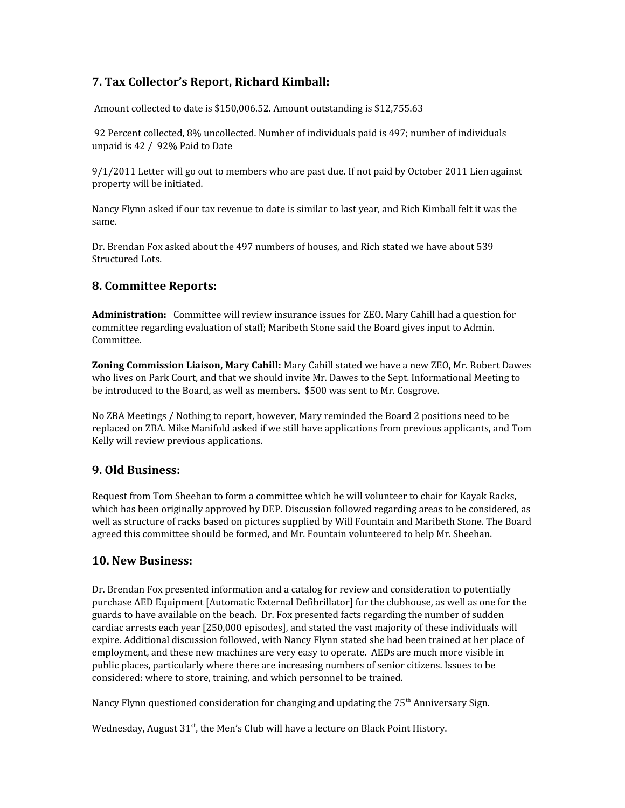## **7. Tax Collector's Report, Richard Kimball:**

Amount collected to date is \$150,006.52. Amount outstanding is \$12,755.63

 92 Percent collected, 8% uncollected. Number of individuals paid is 497; number of individuals unpaid is 42 / 92% Paid to Date

9/1/2011 Letter will go out to members who are past due. If not paid by October 2011 Lien against property will be initiated.

Nancy Flynn asked if our tax revenue to date is similar to last year, and Rich Kimball felt it was the same.

Dr. Brendan Fox asked about the 497 numbers of houses, and Rich stated we have about 539 Structured Lots.

## **8. Committee Reports:**

**Administration:** Committee will review insurance issues for ZEO. Mary Cahill had a question for committee regarding evaluation of staff; Maribeth Stone said the Board gives input to Admin. Committee.

**Zoning Commission Liaison, Mary Cahill:** Mary Cahill stated we have a new ZEO, Mr. Robert Dawes who lives on Park Court, and that we should invite Mr. Dawes to the Sept. Informational Meeting to be introduced to the Board, as well as members. \$500 was sent to Mr. Cosgrove.

No ZBA Meetings / Nothing to report, however, Mary reminded the Board 2 positions need to be replaced on ZBA. Mike Manifold asked if we still have applications from previous applicants, and Tom Kelly will review previous applications.

## **9. Old Business:**

Request from Tom Sheehan to form a committee which he will volunteer to chair for Kayak Racks, which has been originally approved by DEP. Discussion followed regarding areas to be considered, as well as structure of racks based on pictures supplied by Will Fountain and Maribeth Stone. The Board agreed this committee should be formed, and Mr. Fountain volunteered to help Mr. Sheehan.

## **10. New Business:**

Dr. Brendan Fox presented information and a catalog for review and consideration to potentially purchase AED Equipment [Automatic External Defibrillator] for the clubhouse, as well as one for the guards to have available on the beach. Dr. Fox presented facts regarding the number of sudden cardiac arrests each year [250,000 episodes], and stated the vast majority of these individuals will expire. Additional discussion followed, with Nancy Flynn stated she had been trained at her place of employment, and these new machines are very easy to operate. AEDs are much more visible in public places, particularly where there are increasing numbers of senior citizens. Issues to be considered: where to store, training, and which personnel to be trained.

Nancy Flynn questioned consideration for changing and updating the  $75<sup>th</sup>$  Anniversary Sign.

Wednesday, August  $31^{st}$ , the Men's Club will have a lecture on Black Point History.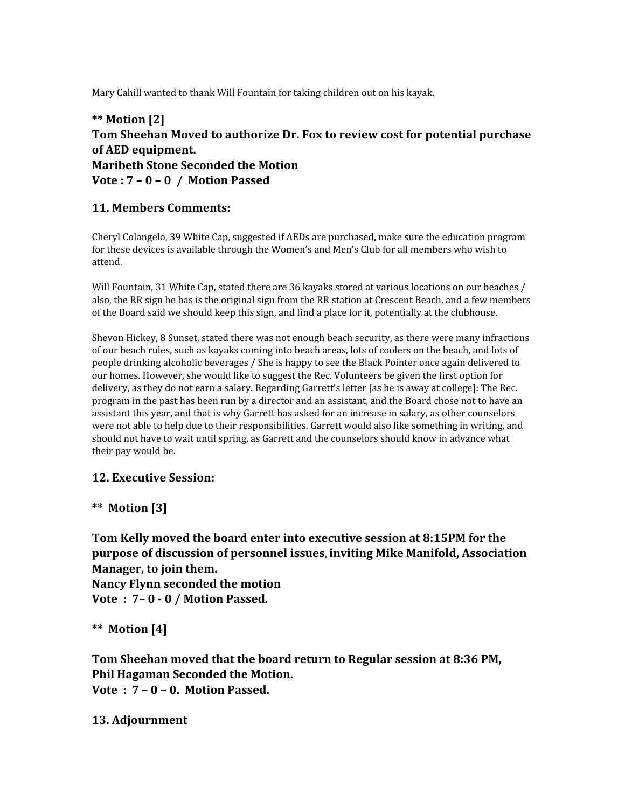Mary Cahill wanted to thank Will Fountain for taking children out on his kayak.

## **\*\* Motion [2] Tom Sheehan Moved to authorize Dr. Fox to review cost for potential purchase of AED equipment. Maribeth Stone Seconded the Motion Vote : 7 – 0 – 0 / Motion Passed**

## **11. Members Comments:**

Cheryl Colangelo, 39 White Cap, suggested if AEDs are purchased, make sure the education program for these devices is available through the Women's and Men's Club for all members who wish to attend.

Will Fountain, 31 White Cap, stated there are 36 kayaks stored at various locations on our beaches / also, the RR sign he has is the original sign from the RR station at Crescent Beach, and a few members of the Board said we should keep this sign, and find a place for it, potentially at the clubhouse.

Shevon Hickey, 8 Sunset, stated there was not enough beach security, as there were many infractions of our beach rules, such as kayaks coming into beach areas, lots of coolers on the beach, and lots of people drinking alcoholic beverages / She is happy to see the Black Pointer once again delivered to our homes. However, she would like to suggest the Rec. Volunteers be given the first option for delivery, as they do not earn a salary. Regarding Garrett's letter [as he is away at college]: The Rec. program in the past has been run by a director and an assistant, and the Board chose not to have an assistant this year, and that is why Garrett has asked for an increase in salary, as other counselors were not able to help due to their responsibilities. Garrett would also like something in writing, and should not have to wait until spring, as Garrett and the counselors should know in advance what their pay would be.

## **12. Executive Session:**

**\*\* Motion [3]**

**Tom Kelly moved the board enter into executive session at 8:15PM for the purpose of discussion of personnel issues**, **inviting Mike Manifold, Association Manager, to join them.**

**Nancy Flynn seconded the motion Vote : 7– 0 - 0 / Motion Passed.**

**\*\* Motion [4]**

**Tom Sheehan moved that the board return to Regular session at 8:36 PM, Phil Hagaman Seconded the Motion. Vote : 7 – 0 – 0. Motion Passed.**

## **13. Adjournment**